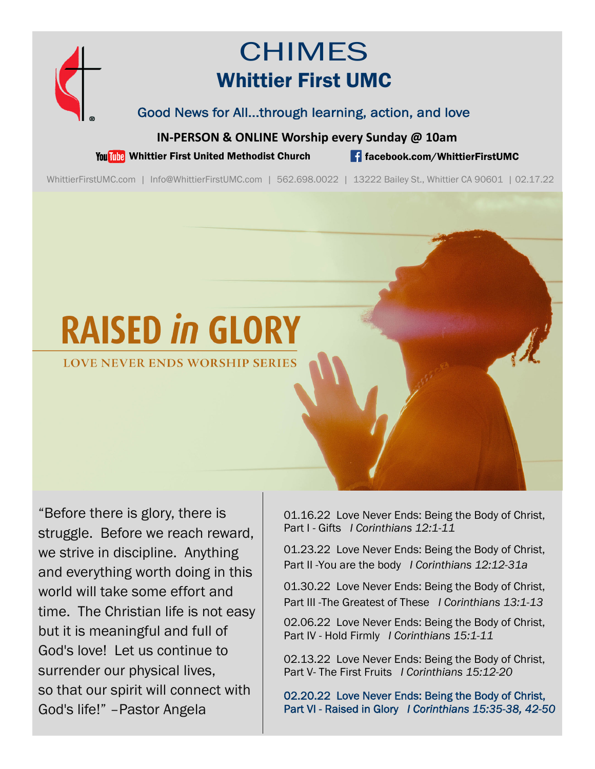

# CHIMES Whittier First UMC

Good News for All...through learning, action, and love

**IN‐PERSON & ONLINE Worship every Sunday @ 10am**

You This Whittier First United Methodist Church **for the facebook.com/WhittierFirstUMC** 

WhittierFirstUMC.com | Info@WhittierFirstUMC.com | 562.698.0022 | 13222 Bailey St., Whittier CA 90601 | 02.17.22

# **RAISED in GLORY**

LOVE NEVER ENDS WORSHIP SERIES

"Before there is glory, there is struggle. Before we reach reward, we strive in discipline. Anything and everything worth doing in this world will take some effort and time. The Christian life is not easy but it is meaningful and full of God's love! Let us continue to surrender our physical lives, so that our spirit will connect with God's life!" –Pastor Angela

01.16.22 Love Never Ends: Being the Body of Christ, Part I - Gifts *I Corinthians 12:1-11* 

01.23.22 Love Never Ends: Being the Body of Christ, Part II -You are the body *I Corinthians 12:12-31a* 

01.30.22 Love Never Ends: Being the Body of Christ, Part III -The Greatest of These *I Corinthians 13:1-13*

02.06.22 Love Never Ends: Being the Body of Christ, Part IV - Hold Firmly *I Corinthians 15:1-11* 

02.13.22 Love Never Ends: Being the Body of Christ, Part V- The First Fruits *I Corinthians 15:12-20* 

02.20.22 Love Never Ends: Being the Body of Christ, Part VI - Raised in Glory *I Corinthians 15:35-38, 42-50*